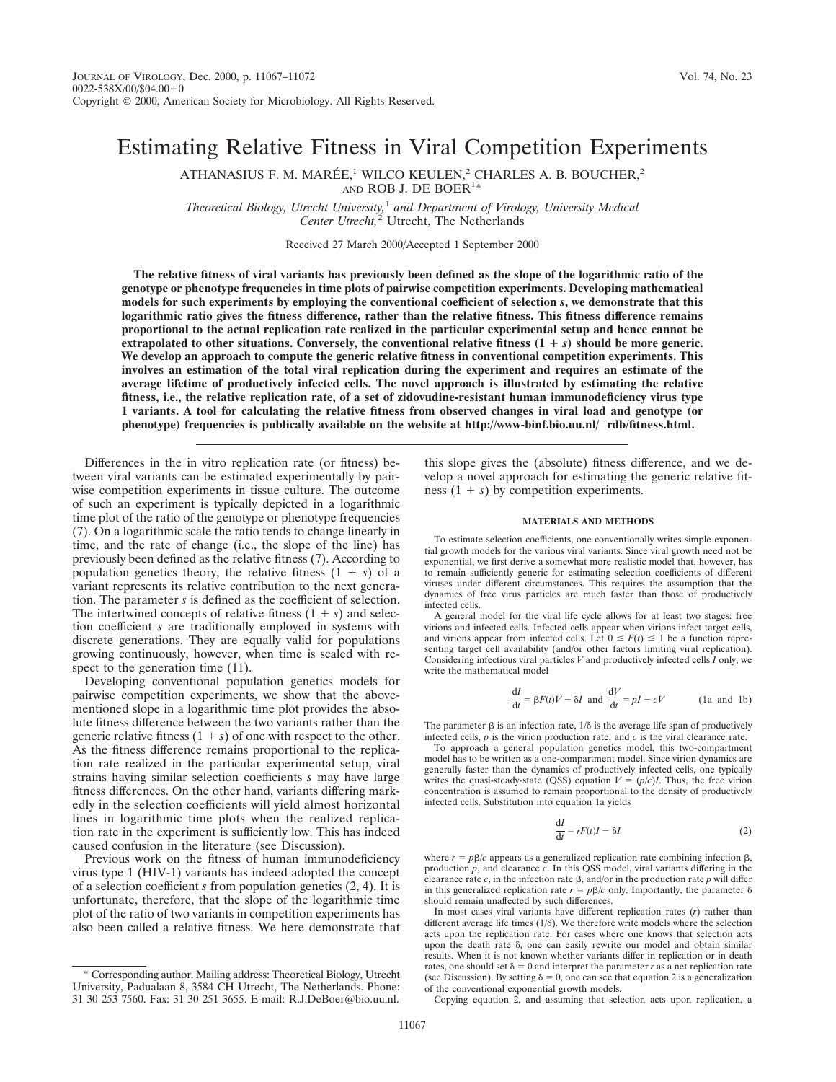# Estimating Relative Fitness in Viral Competition Experiments

ATHANASIUS F. M. MARÉE,<sup>1</sup> WILCO KEULEN,<sup>2</sup> CHARLES A. B. BOUCHER,<sup>2</sup> AND ROB J. DE BOER<sup>1\*</sup>

*Theoretical Biology, Utrecht University,*<sup>1</sup> *and Department of Virology, University Medical* Center Utrecht,<sup>2</sup> Utrecht, The Netherlands

Received 27 March 2000/Accepted 1 September 2000

**The relative fitness of viral variants has previously been defined as the slope of the logarithmic ratio of the genotype or phenotype frequencies in time plots of pairwise competition experiments. Developing mathematical models for such experiments by employing the conventional coefficient of selection** *s***, we demonstrate that this logarithmic ratio gives the fitness difference, rather than the relative fitness. This fitness difference remains proportional to the actual replication rate realized in the particular experimental setup and hence cannot be extrapolated to other situations. Conversely, the conventional relative fitness**  $(1 + s)$  **should be more generic. We develop an approach to compute the generic relative fitness in conventional competition experiments. This involves an estimation of the total viral replication during the experiment and requires an estimate of the average lifetime of productively infected cells. The novel approach is illustrated by estimating the relative fitness, i.e., the relative replication rate, of a set of zidovudine-resistant human immunodeficiency virus type 1 variants. A tool for calculating the relative fitness from observed changes in viral load and genotype (or phenotype) frequencies is publically available on the website at http://www-binf.bio.uu.nl/**;**rdb/fitness.html.**

Differences in the in vitro replication rate (or fitness) between viral variants can be estimated experimentally by pairwise competition experiments in tissue culture. The outcome of such an experiment is typically depicted in a logarithmic time plot of the ratio of the genotype or phenotype frequencies (7). On a logarithmic scale the ratio tends to change linearly in time, and the rate of change (i.e., the slope of the line) has previously been defined as the relative fitness (7). According to population genetics theory, the relative fitness  $(1 + s)$  of a variant represents its relative contribution to the next generation. The parameter *s* is defined as the coefficient of selection. The intertwined concepts of relative fitness  $(1 + s)$  and selection coefficient *s* are traditionally employed in systems with discrete generations. They are equally valid for populations growing continuously, however, when time is scaled with respect to the generation time  $(11)$ .

Developing conventional population genetics models for pairwise competition experiments, we show that the abovementioned slope in a logarithmic time plot provides the absolute fitness difference between the two variants rather than the generic relative fitness  $(1 + s)$  of one with respect to the other. As the fitness difference remains proportional to the replication rate realized in the particular experimental setup, viral strains having similar selection coefficients *s* may have large fitness differences. On the other hand, variants differing markedly in the selection coefficients will yield almost horizontal lines in logarithmic time plots when the realized replication rate in the experiment is sufficiently low. This has indeed caused confusion in the literature (see Discussion).

Previous work on the fitness of human immunodeficiency virus type 1 (HIV-1) variants has indeed adopted the concept of a selection coefficient *s* from population genetics (2, 4). It is unfortunate, therefore, that the slope of the logarithmic time plot of the ratio of two variants in competition experiments has also been called a relative fitness. We here demonstrate that

this slope gives the (absolute) fitness difference, and we develop a novel approach for estimating the generic relative fitness  $(1 + s)$  by competition experiments.

# **MATERIALS AND METHODS**

To estimate selection coefficients, one conventionally writes simple exponential growth models for the various viral variants. Since viral growth need not be exponential, we first derive a somewhat more realistic model that, however, has to remain sufficiently generic for estimating selection coefficients of different viruses under different circumstances. This requires the assumption that the dynamics of free virus particles are much faster than those of productively infected cells.

A general model for the viral life cycle allows for at least two stages: free virions and infected cells. Infected cells appear when virions infect target cells, and virions appear from infected cells. Let  $0 \leq F(t) \leq 1$  be a function representing target cell availability (and/or other factors limiting viral replication). Considering infectious viral particles *V* and productively infected cells *I* only, we write the mathematical model

$$
\frac{dI}{dt} = \beta F(t)V - \delta I \text{ and } \frac{dV}{dt} = pI - cV \qquad \text{(1a and 1b)}
$$

The parameter  $\beta$  is an infection rate,  $1/\delta$  is the average life span of productively infected cells, *p* is the virion production rate, and *c* is the viral clearance rate.

To approach a general population genetics model, this two-compartment model has to be written as a one-compartment model. Since virion dynamics are generally faster than the dynamics of productively infected cells, one typically writes the quasi-steady-state (QSS) equation  $V = (p/c)I$ . Thus, the free virion concentration is assumed to remain proportional to the density of productively infected cells. Substitution into equation 1a yields

$$
\frac{\mathrm{d}I}{\mathrm{d}t} = rF(t)I - \delta I \tag{2}
$$

where  $r = p\beta/c$  appears as a generalized replication rate combining infection  $\beta$ , production *p*, and clearance  $\vec{c}$ . In this QSS model, viral variants differing in the clearance rate  $c$ , in the infection rate  $\beta$ , and/or in the production rate  $p$  will differ in this generalized replication rate  $r = p\beta/c$  only. Importantly, the parameter  $\delta$ should remain unaffected by such differences.

In most cases viral variants have different replication rates (*r*) rather than different average life times  $(1/\delta)$ . We therefore write models where the selection acts upon the replication rate. For cases where one knows that selection acts upon the death rate  $\delta$ , one can easily rewrite our model and obtain similar results. When it is not known whether variants differ in replication or in death rates, one should set  $\delta = 0$  and interpret the parameter *r* as a net replication rate (see Discussion). By setting  $\delta = 0$ , one can see that equation 2 is a generalization of the conventional exponential growth models.

Copying equation 2, and assuming that selection acts upon replication, a

<sup>\*</sup> Corresponding author. Mailing address: Theoretical Biology, Utrecht University, Padualaan 8, 3584 CH Utrecht, The Netherlands. Phone: 31 30 253 7560. Fax: 31 30 251 3655. E-mail: R.J.DeBoer@bio.uu.nl.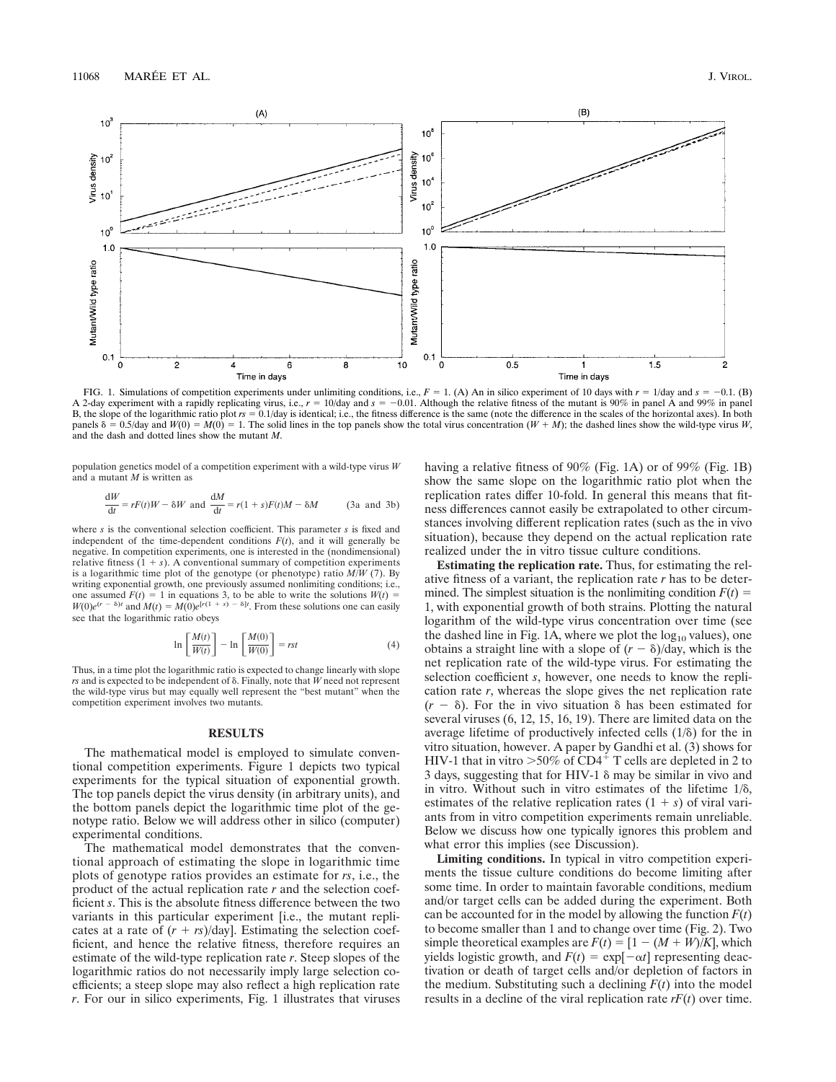

FIG. 1. Simulations of competition experiments under unlimiting conditions, i.e.,  $F = 1$ . (A) An in silico experiment of 10 days with  $r = 1$ /day and  $s = -0.1$ . (B) A 2-day experiment with a rapidly replicating virus, i.e.,  $r = 10$ /day and  $s = -0.01$ . Although the relative fitness of the mutant is 90% in panel A and 99% in panel B, the slope of the logarithmic ratio plot  $rs = 0.1$ /day is identical; i.e., the fitness difference is the same (note the difference in the scales of the horizontal axes). In both panels  $\delta = 0.5$ /day and  $W(0) = M(0) = 1$ . The solid lines in the top panels show the total virus concentration ( $W + M$ ); the dashed lines show the wild-type virus *W*, and the dash and dotted lines show the mutant *M*.

population genetics model of a competition experiment with a wild-type virus *W* and a mutant *M* is written as

$$
\frac{dW}{dt} = rF(t)W - \delta W \text{ and } \frac{dM}{dt} = r(1+s)F(t)M - \delta M \quad (3a \text{ and } 3b)
$$

where *s* is the conventional selection coefficient. This parameter *s* is fixed and independent of the time-dependent conditions  $F(t)$ , and it will generally be negative. In competition experiments, one is interested in the (nondimensional) relative fitness  $(1 + s)$ . A conventional summary of competition experiments is a logarithmic time plot of the genotype (or phenotype) ratio *M/W* (7). By writing exponential growth, one previously assumed nonlimiting conditions; i.e., one assumed  $F(t) = 1$  in equations 3, to be able to write the solutions  $W(t)$  $W(0)e^{(r - \delta)t}$  and  $M(t) = M(0)e^{[r(1 + s) - \delta]t}$ . From these solutions one can easily see that the logarithmic ratio obeys

$$
\ln\left[\frac{M(t)}{W(t)}\right] - \ln\left[\frac{M(0)}{W(0)}\right] = rst
$$
\n(4)

Thus, in a time plot the logarithmic ratio is expected to change linearly with slope  *and is expected to be independent of*  $\delta$ *. Finally, note that*  $\bar{W}$  *need not represent* the wild-type virus but may equally well represent the "best mutant" when the competition experiment involves two mutants.

### **RESULTS**

The mathematical model is employed to simulate conventional competition experiments. Figure 1 depicts two typical experiments for the typical situation of exponential growth. The top panels depict the virus density (in arbitrary units), and the bottom panels depict the logarithmic time plot of the genotype ratio. Below we will address other in silico (computer) experimental conditions.

The mathematical model demonstrates that the conventional approach of estimating the slope in logarithmic time plots of genotype ratios provides an estimate for *rs*, i.e., the product of the actual replication rate *r* and the selection coefficient *s*. This is the absolute fitness difference between the two variants in this particular experiment [i.e., the mutant replicates at a rate of  $(r + rs)/day$ . Estimating the selection coefficient, and hence the relative fitness, therefore requires an estimate of the wild-type replication rate *r*. Steep slopes of the logarithmic ratios do not necessarily imply large selection coefficients; a steep slope may also reflect a high replication rate *r*. For our in silico experiments, Fig. 1 illustrates that viruses having a relative fitness of 90% (Fig. 1A) or of 99% (Fig. 1B) show the same slope on the logarithmic ratio plot when the replication rates differ 10-fold. In general this means that fitness differences cannot easily be extrapolated to other circumstances involving different replication rates (such as the in vivo situation), because they depend on the actual replication rate realized under the in vitro tissue culture conditions.

**Estimating the replication rate.** Thus, for estimating the relative fitness of a variant, the replication rate *r* has to be determined. The simplest situation is the nonlimiting condition  $F(t) =$ 1, with exponential growth of both strains. Plotting the natural logarithm of the wild-type virus concentration over time (see the dashed line in Fig. 1A, where we plot the  $log_{10}$  values), one obtains a straight line with a slope of  $(r - \delta)/day$ , which is the net replication rate of the wild-type virus. For estimating the selection coefficient *s*, however, one needs to know the replication rate *r*, whereas the slope gives the net replication rate  $\delta$ ). For the in vivo situation  $\delta$  has been estimated for several viruses (6, 12, 15, 16, 19). There are limited data on the average lifetime of productively infected cells  $(1/\delta)$  for the in vitro situation, however. A paper by Gandhi et al. (3) shows for HIV-1 that in vitro  $>50\%$  of CD4<sup>+</sup> T cells are depleted in 2 to 3 days, suggesting that for HIV-1  $\delta$  may be similar in vivo and in vitro. Without such in vitro estimates of the lifetime  $1/\delta$ , estimates of the relative replication rates  $(1 + s)$  of viral variants from in vitro competition experiments remain unreliable. Below we discuss how one typically ignores this problem and what error this implies (see Discussion).

**Limiting conditions.** In typical in vitro competition experiments the tissue culture conditions do become limiting after some time. In order to maintain favorable conditions, medium and/or target cells can be added during the experiment. Both can be accounted for in the model by allowing the function  $F(t)$ to become smaller than 1 and to change over time (Fig. 2). Two simple theoretical examples are  $F(t) = [1 - (M + W)/K]$ , which yields logistic growth, and  $F(t) = \exp[-\alpha t]$  representing deactivation or death of target cells and/or depletion of factors in the medium. Substituting such a declining  $F(t)$  into the model results in a decline of the viral replication rate *rF*(*t*) over time.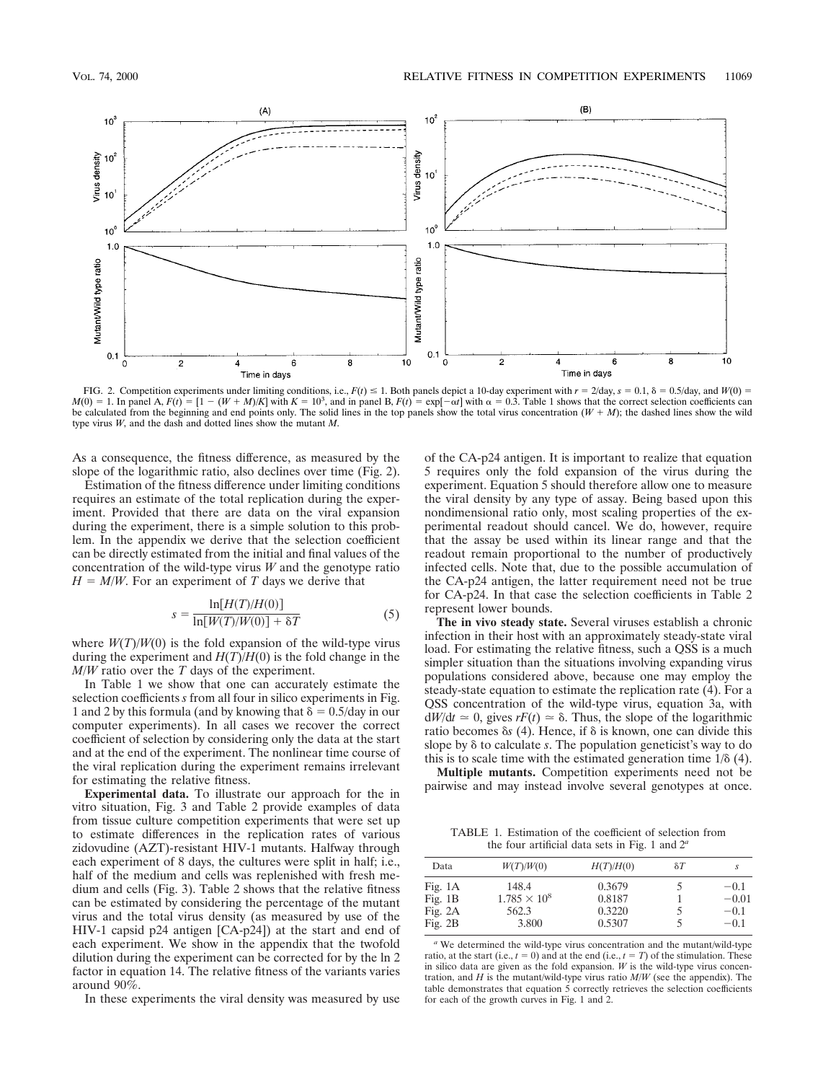

FIG. 2. Competition experiments under limiting conditions, i.e.,  $F(t) \le 1$ . Both panels depict a 10-day experiment with  $r = 2$ /day,  $s = 0.1$ ,  $\delta = 0.5$ /day, and  $W(0) = 1$ . In panel A,  $F(t) = [1 - (W + M)/K]$  with  $K = 10^3$ , and be calculated from the beginning and end points only. The solid lines in the top panels show the total virus concentration  $(W + M)$ ; the dashed lines show the wild type virus *W*, and the dash and dotted lines show the mutant *M*.

As a consequence, the fitness difference, as measured by the slope of the logarithmic ratio, also declines over time (Fig. 2).

Estimation of the fitness difference under limiting conditions requires an estimate of the total replication during the experiment. Provided that there are data on the viral expansion during the experiment, there is a simple solution to this problem. In the appendix we derive that the selection coefficient can be directly estimated from the initial and final values of the concentration of the wild-type virus *W* and the genotype ratio  $H = M/W$ . For an experiment of *T* days we derive that

$$
s = \frac{\ln[H(T)/H(0)]}{\ln[W(T)/W(0)] + \delta T}
$$
\n<sup>(5)</sup>

where  $W(T)/W(0)$  is the fold expansion of the wild-type virus during the experiment and  $H(T)/H(0)$  is the fold change in the *M/W* ratio over the *T* days of the experiment.

In Table 1 we show that one can accurately estimate the selection coefficients *s* from all four in silico experiments in Fig. 1 and 2 by this formula (and by knowing that  $\delta = 0.5/d$ ay in our computer experiments). In all cases we recover the correct coefficient of selection by considering only the data at the start and at the end of the experiment. The nonlinear time course of the viral replication during the experiment remains irrelevant for estimating the relative fitness.

**Experimental data.** To illustrate our approach for the in vitro situation, Fig. 3 and Table 2 provide examples of data from tissue culture competition experiments that were set up to estimate differences in the replication rates of various zidovudine (AZT)-resistant HIV-1 mutants. Halfway through each experiment of 8 days, the cultures were split in half; i.e., half of the medium and cells was replenished with fresh medium and cells (Fig. 3). Table 2 shows that the relative fitness can be estimated by considering the percentage of the mutant virus and the total virus density (as measured by use of the HIV-1 capsid p24 antigen [CA-p24]) at the start and end of each experiment. We show in the appendix that the twofold dilution during the experiment can be corrected for by the ln 2 factor in equation 14. The relative fitness of the variants varies around 90%.

In these experiments the viral density was measured by use

of the CA-p24 antigen. It is important to realize that equation 5 requires only the fold expansion of the virus during the experiment. Equation 5 should therefore allow one to measure the viral density by any type of assay. Being based upon this nondimensional ratio only, most scaling properties of the experimental readout should cancel. We do, however, require that the assay be used within its linear range and that the readout remain proportional to the number of productively infected cells. Note that, due to the possible accumulation of the CA-p24 antigen, the latter requirement need not be true for CA-p24. In that case the selection coefficients in Table 2 represent lower bounds.

**The in vivo steady state.** Several viruses establish a chronic infection in their host with an approximately steady-state viral load. For estimating the relative fitness, such a QSS is a much simpler situation than the situations involving expanding virus populations considered above, because one may employ the steady-state equation to estimate the replication rate (4). For a QSS concentration of the wild-type virus, equation 3a, with  $dW/dt \approx 0$ , gives  $rF(t) \approx \delta$ . Thus, the slope of the logarithmic ratio becomes  $\delta s$  (4). Hence, if  $\delta$  is known, one can divide this slope by  $\delta$  to calculate *s*. The population geneticist's way to do this is to scale time with the estimated generation time  $1/\delta$  (4).

**Multiple mutants.** Competition experiments need not be pairwise and may instead involve several genotypes at once.

TABLE 1. Estimation of the coefficient of selection from the four artificial data sets in Fig. 1 and 2*<sup>a</sup>*

| W(T)/W(0) | H(T)/H(0)           | $\delta T$ |         |
|-----------|---------------------|------------|---------|
| 148.4     | 0.3679              |            | $-0.1$  |
|           |                     |            | $-0.01$ |
| 562.3     | 0.3220              |            | $-0.1$  |
| 3.800     | 0.5307              |            | $-0.1$  |
|           | $1.785 \times 10^8$ | 0.8187     |         |

*<sup>a</sup>* We determined the wild-type virus concentration and the mutant/wild-type ratio, at the start (i.e.,  $t = 0$ ) and at the end (i.e.,  $t = T$ ) of the stimulation. These in silico data are given as the fold expansion.  $W$  is the wild-type virus concentration, and *H* is the mutant/wild-type virus ratio *M/W* (see the appendix). The table demonstrates that equation  $5$  correctly retrieves the selection coefficients for each of the growth curves in Fig. 1 and 2.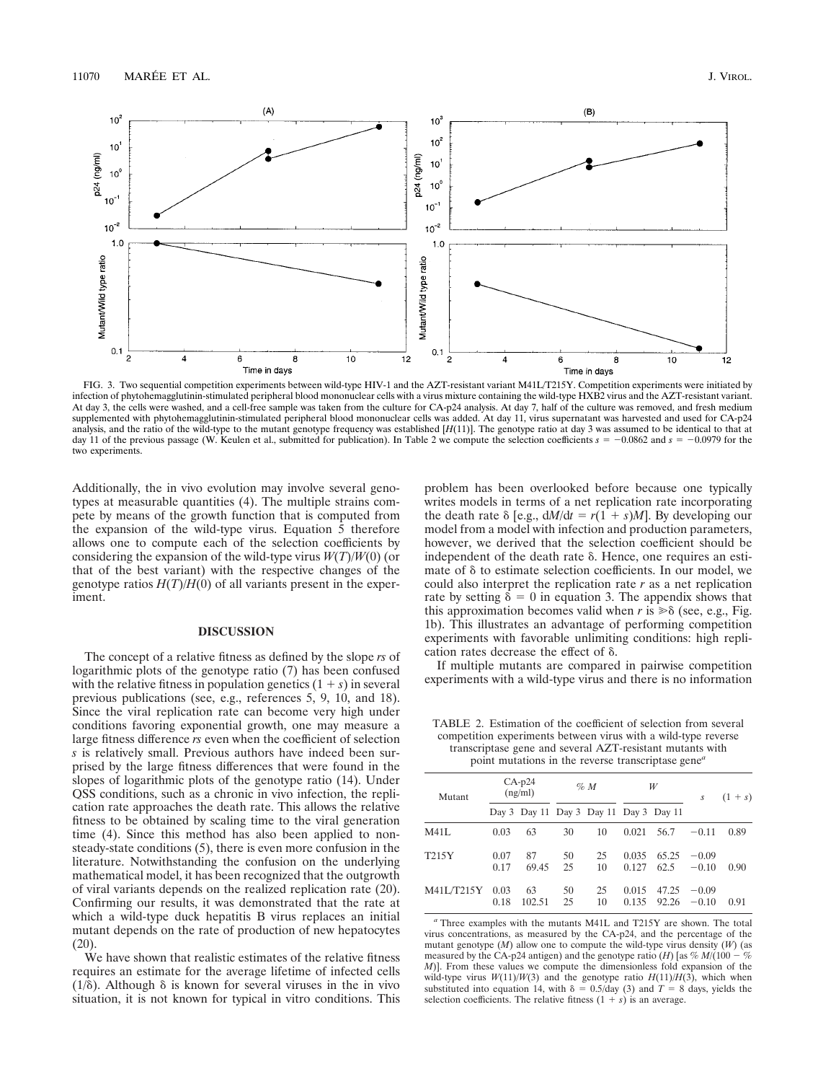

FIG. 3. Two sequential competition experiments between wild-type HIV-1 and the AZT-resistant variant M41L/T215Y. Competition experiments were initiated by infection of phytohemagglutinin-stimulated peripheral blood mononuclear cells with a virus mixture containing the wild-type HXB2 virus and the AZT-resistant variant. At day 3, the cells were washed, and a cell-free sample was taken from the culture for CA-p24 analysis. At day 7, half of the culture was removed, and fresh medium supplemented with phytohemagglutinin-stimulated peripheral blood mononuclear cells was added. At day 11, virus supernatant was harvested and used for CA-p24 analysis, and the ratio of the wild-type to the mutant genotype frequency was established [*H*(11)]. The genotype ratio at day 3 was assumed to be identical to that at day 11 of the previous passage (W. Keulen et al., submitted for publication). In Table 2 we compute the selection coefficients  $s = -0.0862$  and  $s = -0.0979$  for the two experiments.

Additionally, the in vivo evolution may involve several genotypes at measurable quantities (4). The multiple strains compete by means of the growth function that is computed from the expansion of the wild-type virus. Equation 5 therefore allows one to compute each of the selection coefficients by considering the expansion of the wild-type virus *W*(*T*)/*W*(0) (or that of the best variant) with the respective changes of the genotype ratios  $H(T)/H(0)$  of all variants present in the experiment.

# **DISCUSSION**

The concept of a relative fitness as defined by the slope *rs* of logarithmic plots of the genotype ratio (7) has been confused with the relative fitness in population genetics  $(1 + s)$  in several previous publications (see, e.g., references 5, 9, 10, and 18). Since the viral replication rate can become very high under conditions favoring exponential growth, one may measure a large fitness difference *rs* even when the coefficient of selection *s* is relatively small. Previous authors have indeed been surprised by the large fitness differences that were found in the slopes of logarithmic plots of the genotype ratio (14). Under QSS conditions, such as a chronic in vivo infection, the replication rate approaches the death rate. This allows the relative fitness to be obtained by scaling time to the viral generation time (4). Since this method has also been applied to nonsteady-state conditions (5), there is even more confusion in the literature. Notwithstanding the confusion on the underlying mathematical model, it has been recognized that the outgrowth of viral variants depends on the realized replication rate (20). Confirming our results, it was demonstrated that the rate at which a wild-type duck hepatitis B virus replaces an initial mutant depends on the rate of production of new hepatocytes (20).

We have shown that realistic estimates of the relative fitness requires an estimate for the average lifetime of infected cells ( $1/\delta$ ). Although  $\delta$  is known for several viruses in the in vivo situation, it is not known for typical in vitro conditions. This

problem has been overlooked before because one typically writes models in terms of a net replication rate incorporating the death rate  $\delta$  [e.g.,  $dM/dt = r(1 + s)M$ ]. By developing our model from a model with infection and production parameters, however, we derived that the selection coefficient should be independent of the death rate  $\delta$ . Hence, one requires an estimate of  $\delta$  to estimate selection coefficients. In our model, we could also interpret the replication rate *r* as a net replication rate by setting  $\delta = 0$  in equation 3. The appendix shows that this approximation becomes valid when  $r$  is  $\gg \delta$  (see, e.g., Fig. 1b). This illustrates an advantage of performing competition experiments with favorable unlimiting conditions: high replication rates decrease the effect of  $\delta$ .

If multiple mutants are compared in pairwise competition experiments with a wild-type virus and there is no information

TABLE 2. Estimation of the coefficient of selection from several competition experiments between virus with a wild-type reverse transcriptase gene and several AZT-resistant mutants with point mutations in the reverse transcriptase gene*<sup>a</sup>*

| Mutant     | $CA-p24$<br>(ng/ml) |                                        | %M        |          | W              |                | S                  | $(1 + s)$ |
|------------|---------------------|----------------------------------------|-----------|----------|----------------|----------------|--------------------|-----------|
|            |                     | Day 3 Day 11 Day 3 Day 11 Day 3 Day 11 |           |          |                |                |                    |           |
| M41L       | 0.03                | 63                                     | 30        | 10       | $0.021$ 56.7   |                | $-0.11$            | 0.89      |
| T215Y      | 0.07<br>0.17        | 87<br>69.45                            | 50<br>-25 | 25<br>10 | 0.035<br>0.127 | 65.25<br>62.5  | $-0.09$<br>$-0.10$ | 0.90      |
| M41L/T215Y | 0.03<br>0.18        | 63<br>102.51                           | 50<br>25  | 25<br>10 | 0.015<br>0.135 | 47.25<br>92.26 | $-0.09$<br>$-0.10$ | 0.91      |

*<sup>a</sup>* Three examples with the mutants M41L and T215Y are shown. The total virus concentrations, as measured by the CA-p24, and the percentage of the mutant genotype (*M*) allow one to compute the wild-type virus density (*W*) (as measured by the CA-p24 antigen) and the genotype ratio (*H*) [as  $% M/(100 - %$ *M*)]. From these values we compute the dimensionless fold expansion of the wild-type virus  $W(11)/W(3)$  and the genotype ratio  $H(11)/H(3)$ , which when substituted into equation 14, with  $\delta = 0.5/\text{day}$  (3) and  $\dot{T} = 8$  days, yields the selection coefficients. The relative fitness  $(1 + s)$  is an average.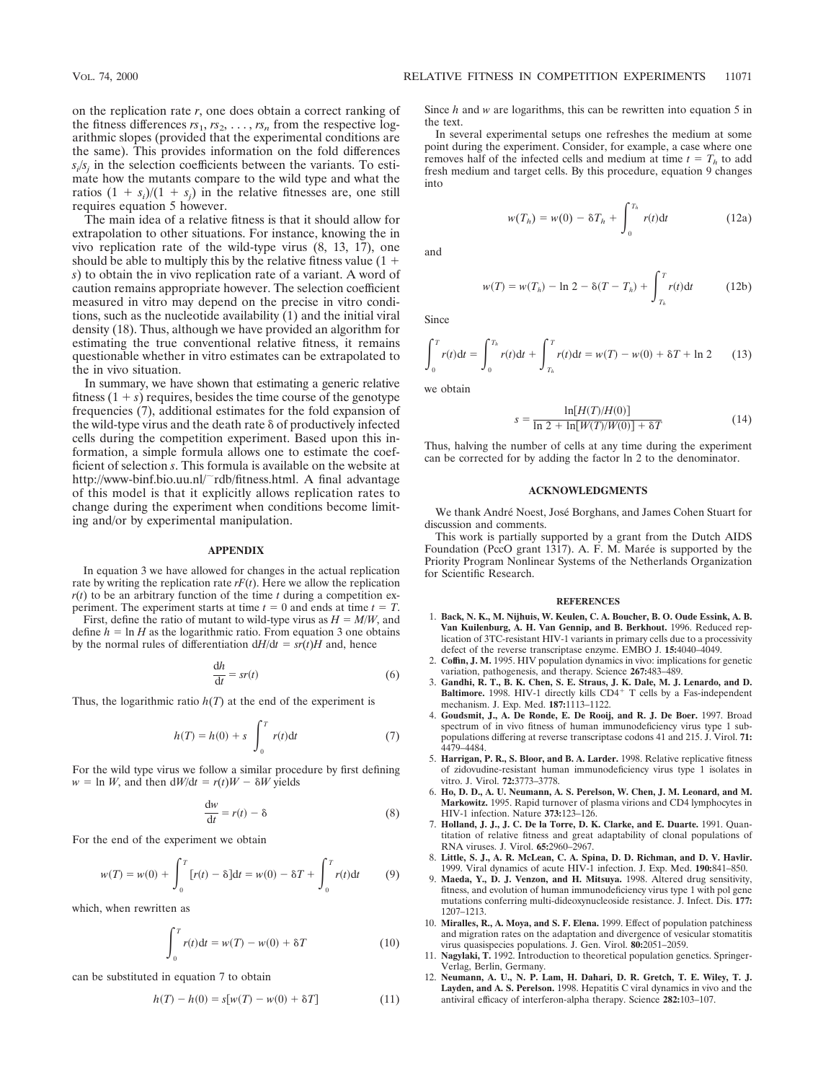on the replication rate *r*, one does obtain a correct ranking of the fitness differences  $rs_1, rs_2, \ldots, rs_n$  from the respective logarithmic slopes (provided that the experimental conditions are the same). This provides information on the fold differences  $s_i/s_j$  in the selection coefficients between the variants. To estimate how the mutants compare to the wild type and what the ratios  $(1 + s_i)/(1 + s_j)$  in the relative fitnesses are, one still requires equation 5 however.

The main idea of a relative fitness is that it should allow for extrapolation to other situations. For instance, knowing the in vivo replication rate of the wild-type virus (8, 13, 17), one should be able to multiply this by the relative fitness value  $(1 +$ *s*) to obtain the in vivo replication rate of a variant. A word of caution remains appropriate however. The selection coefficient measured in vitro may depend on the precise in vitro conditions, such as the nucleotide availability (1) and the initial viral density (18). Thus, although we have provided an algorithm for estimating the true conventional relative fitness, it remains questionable whether in vitro estimates can be extrapolated to the in vivo situation.

In summary, we have shown that estimating a generic relative fitness  $(1 + s)$  requires, besides the time course of the genotype frequencies (7), additional estimates for the fold expansion of the wild-type virus and the death rate  $\delta$  of productively infected cells during the competition experiment. Based upon this information, a simple formula allows one to estimate the coefficient of selection *s*. This formula is available on the website at http://www-binf.bio.uu.nl/~rdb/fitness.html. A final advantage of this model is that it explicitly allows replication rates to change during the experiment when conditions become limiting and/or by experimental manipulation.

# **APPENDIX**

In equation 3 we have allowed for changes in the actual replication rate by writing the replication rate  $rF(t)$ . Here we allow the replication  $r(t)$  to be an arbitrary function of the time  $t$  during a competition experiment. The experiment starts at time  $t = 0$  and ends at time  $t = T$ .

First, define the ratio of mutant to wild-type virus as  $H = M/W$ , and define  $h = \ln H$  as the logarithmic ratio. From equation 3 one obtains by the normal rules of differentiation  $dH/dt = sr(t)H$  and, hence

$$
\frac{\mathrm{d}h}{\mathrm{d}t} = sr(t) \tag{6}
$$

Thus, the logarithmic ratio  $h(T)$  at the end of the experiment is

$$
h(T) = h(0) + s \int_0^T r(t) dt
$$
 (7)

For the wild type virus we follow a similar procedure by first defining  $w = \ln W$ , and then  $dW/dt = r(t)W - \delta W$  yields

$$
\frac{\mathrm{d}w}{\mathrm{d}t} = r(t) - \delta \tag{8}
$$

For the end of the experiment we obtain

$$
w(T) = w(0) + \int_0^T [r(t) - \delta] dt = w(0) - \delta T + \int_0^T r(t) dt
$$
 (9)

which, when rewritten as

$$
\int_{0}^{T} r(t)dt = w(T) - w(0) + \delta T
$$
\n(10)

can be substituted in equation 7 to obtain

$$
h(T) - h(0) = s[w(T) - w(0) + \delta T]
$$
\n(11)

Since *h* and *w* are logarithms, this can be rewritten into equation 5 in the text.

In several experimental setups one refreshes the medium at some point during the experiment. Consider, for example, a case where one removes half of the infected cells and medium at time  $t = T<sub>h</sub>$  to add fresh medium and target cells. By this procedure, equation 9 changes into

$$
w(T_h) = w(0) - \delta T_h + \int_0^{T_h} r(t) dt
$$
 (12a)

and

$$
w(T) = w(T_h) - \ln 2 - \delta(T - T_h) + \int_{T_h}^{T} r(t) dt
$$
 (12b)

Since

$$
\int_0^T r(t)dt = \int_0^{T_h} r(t)dt + \int_{T_h}^T r(t)dt = w(T) - w(0) + \delta T + \ln 2
$$
 (13)

we obtain

$$
s = \frac{\ln[H(T)/H(0)]}{\ln 2 + \ln[W(T)/W(0)] + \delta T}
$$
(14)

Thus, halving the number of cells at any time during the experiment can be corrected for by adding the factor ln 2 to the denominator.

# **ACKNOWLEDGMENTS**

We thank André Noest, José Borghans, and James Cohen Stuart for discussion and comments.

This work is partially supported by a grant from the Dutch AIDS Foundation (PccO grant  $1317$ ). A. F. M. Marée is supported by the Priority Program Nonlinear Systems of the Netherlands Organization for Scientific Research.

#### **REFERENCES**

- 1. **Back, N. K., M. Nijhuis, W. Keulen, C. A. Boucher, B. O. Oude Essink, A. B. Van Kuilenburg, A. H. Van Gennip, and B. Berkhout.** 1996. Reduced replication of 3TC-resistant HIV-1 variants in primary cells due to a processivity defect of the reverse transcriptase enzyme. EMBO J. **15:**4040–4049.
- 2. **Coffin, J. M.** 1995. HIV population dynamics in vivo: implications for genetic variation, pathogenesis, and therapy. Science **267:**483–489.
- 3. **Gandhi, R. T., B. K. Chen, S. E. Straus, J. K. Dale, M. J. Lenardo, and D. Baltimore.** 1998. HIV-1 directly kills CD4<sup>+</sup> T cells by a Fas-independent mechanism. J. Exp. Med. **187:**1113–1122.
- 4. **Goudsmit, J., A. De Ronde, E. De Rooij, and R. J. De Boer.** 1997. Broad spectrum of in vivo fitness of human immunodeficiency virus type 1 subpopulations differing at reverse transcriptase codons 41 and 215. J. Virol. **71:** 4479–4484.
- 5. **Harrigan, P. R., S. Bloor, and B. A. Larder.** 1998. Relative replicative fitness of zidovudine-resistant human immunodeficiency virus type 1 isolates in vitro. J. Virol. **72:**3773–3778.
- 6. **Ho, D. D., A. U. Neumann, A. S. Perelson, W. Chen, J. M. Leonard, and M. Markowitz.** 1995. Rapid turnover of plasma virions and CD4 lymphocytes in HIV-1 infection. Nature **373:**123–126.
- 7. **Holland, J. J., J. C. De la Torre, D. K. Clarke, and E. Duarte.** 1991. Quantitation of relative fitness and great adaptability of clonal populations of RNA viruses. J. Virol. **65:**2960–2967.
- 8. **Little, S. J., A. R. McLean, C. A. Spina, D. D. Richman, and D. V. Havlir.** 1999. Viral dynamics of acute HIV-1 infection. J. Exp. Med. **190:**841–850.
- 9. **Maeda, Y., D. J. Venzon, and H. Mitsuya.** 1998. Altered drug sensitivity, fitness, and evolution of human immunodeficiency virus type 1 with pol gene mutations conferring multi-dideoxynucleoside resistance. J. Infect. Dis. **177:** 1207–1213.
- 10. **Miralles, R., A. Moya, and S. F. Elena.** 1999. Effect of population patchiness and migration rates on the adaptation and divergence of vesicular stomatitis virus quasispecies populations. J. Gen. Virol. **80:**2051–2059.
- 11. **Nagylaki, T.** 1992. Introduction to theoretical population genetics. Springer-Verlag, Berlin, Germany.
- 12. **Neumann, A. U., N. P. Lam, H. Dahari, D. R. Gretch, T. E. Wiley, T. J. Layden, and A. S. Perelson.** 1998. Hepatitis C viral dynamics in vivo and the antiviral efficacy of interferon-alpha therapy. Science **282:**103–107.